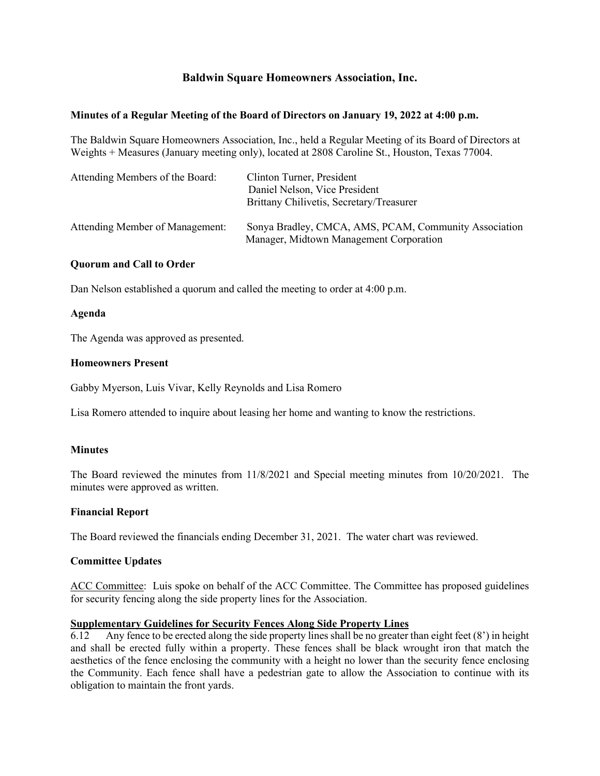# **Baldwin Square Homeowners Association, Inc.**

### **Minutes of a Regular Meeting of the Board of Directors on January 19, 2022 at 4:00 p.m.**

The Baldwin Square Homeowners Association, Inc., held a Regular Meeting of its Board of Directors at Weights + Measures (January meeting only), located at 2808 Caroline St., Houston, Texas 77004.

| Attending Members of the Board: | Clinton Turner, President<br>Daniel Nelson, Vice President<br>Brittany Chilivetis, Secretary/Treasurer |
|---------------------------------|--------------------------------------------------------------------------------------------------------|
| Attending Member of Management: | Sonya Bradley, CMCA, AMS, PCAM, Community Association<br>Manager, Midtown Management Corporation       |

#### **Quorum and Call to Order**

Dan Nelson established a quorum and called the meeting to order at 4:00 p.m.

#### **Agenda**

The Agenda was approved as presented.

#### **Homeowners Present**

Gabby Myerson, Luis Vivar, Kelly Reynolds and Lisa Romero

Lisa Romero attended to inquire about leasing her home and wanting to know the restrictions.

## **Minutes**

The Board reviewed the minutes from 11/8/2021 and Special meeting minutes from 10/20/2021. The minutes were approved as written.

## **Financial Report**

The Board reviewed the financials ending December 31, 2021. The water chart was reviewed.

## **Committee Updates**

ACC Committee: Luis spoke on behalf of the ACC Committee. The Committee has proposed guidelines for security fencing along the side property lines for the Association.

#### **Supplementary Guidelines for Security Fences Along Side Property Lines**

6.12 Any fence to be erected along the side property lines shall be no greater than eight feet (8') in height and shall be erected fully within a property. These fences shall be black wrought iron that match the aesthetics of the fence enclosing the community with a height no lower than the security fence enclosing the Community. Each fence shall have a pedestrian gate to allow the Association to continue with its obligation to maintain the front yards.